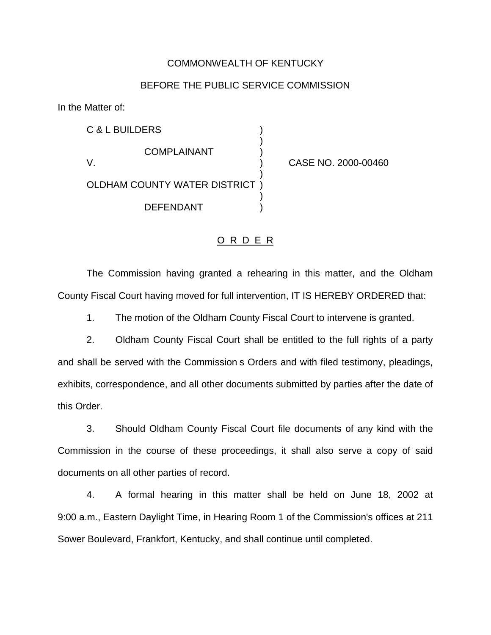## COMMONWEALTH OF KENTUCKY

## BEFORE THE PUBLIC SERVICE COMMISSION

In the Matter of:

C & L BUILDERS ) ) **COMPLAINANT** V. ) CASE NO. 2000-00460 ) OLDHAM COUNTY WATER DISTRICT ) ) DEFENDANT )

## O R D E R

The Commission having granted a rehearing in this matter, and the Oldham County Fiscal Court having moved for full intervention, IT IS HEREBY ORDERED that:

1. The motion of the Oldham County Fiscal Court to intervene is granted.

2. Oldham County Fiscal Court shall be entitled to the full rights of a party and shall be served with the Commission s Orders and with filed testimony, pleadings, exhibits, correspondence, and all other documents submitted by parties after the date of this Order.

3. Should Oldham County Fiscal Court file documents of any kind with the Commission in the course of these proceedings, it shall also serve a copy of said documents on all other parties of record.

4. A formal hearing in this matter shall be held on June 18, 2002 at 9:00 a.m., Eastern Daylight Time, in Hearing Room 1 of the Commission's offices at 211 Sower Boulevard, Frankfort, Kentucky, and shall continue until completed.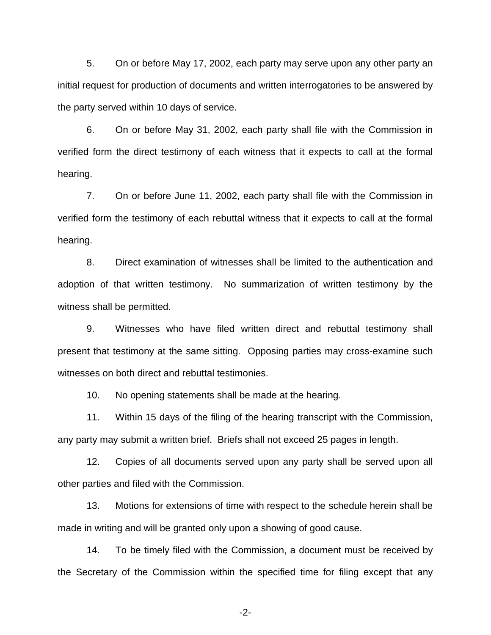5. On or before May 17, 2002, each party may serve upon any other party an initial request for production of documents and written interrogatories to be answered by the party served within 10 days of service.

6. On or before May 31, 2002, each party shall file with the Commission in verified form the direct testimony of each witness that it expects to call at the formal hearing.

7. On or before June 11, 2002, each party shall file with the Commission in verified form the testimony of each rebuttal witness that it expects to call at the formal hearing.

8. Direct examination of witnesses shall be limited to the authentication and adoption of that written testimony. No summarization of written testimony by the witness shall be permitted.

9. Witnesses who have filed written direct and rebuttal testimony shall present that testimony at the same sitting. Opposing parties may cross-examine such witnesses on both direct and rebuttal testimonies.

10. No opening statements shall be made at the hearing.

11. Within 15 days of the filing of the hearing transcript with the Commission, any party may submit a written brief. Briefs shall not exceed 25 pages in length.

12. Copies of all documents served upon any party shall be served upon all other parties and filed with the Commission.

13. Motions for extensions of time with respect to the schedule herein shall be made in writing and will be granted only upon a showing of good cause.

14. To be timely filed with the Commission, a document must be received by the Secretary of the Commission within the specified time for filing except that any

-2-